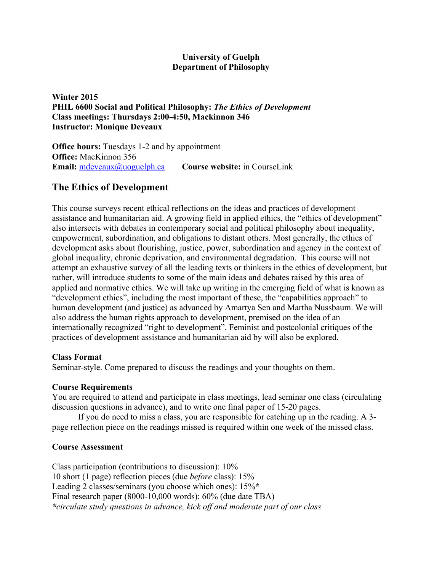## **University of Guelph Department of Philosophy**

**Winter 2015 PHIL 6600 Social and Political Philosophy:** *The Ethics of Development* **Class meetings: Thursdays 2:00-4:50, Mackinnon 346 Instructor: Monique Deveaux**

**Office hours:** Tuesdays 1-2 and by appointment **Office:** MacKinnon 356 **Email:** mdeveaux@uoguelph.ca **Course website:** in CourseLink

## **The Ethics of Development**

This course surveys recent ethical reflections on the ideas and practices of development assistance and humanitarian aid. A growing field in applied ethics, the "ethics of development" also intersects with debates in contemporary social and political philosophy about inequality, empowerment, subordination, and obligations to distant others. Most generally, the ethics of development asks about flourishing, justice, power, subordination and agency in the context of global inequality, chronic deprivation, and environmental degradation. This course will not attempt an exhaustive survey of all the leading texts or thinkers in the ethics of development, but rather, will introduce students to some of the main ideas and debates raised by this area of applied and normative ethics. We will take up writing in the emerging field of what is known as "development ethics", including the most important of these, the "capabilities approach" to human development (and justice) as advanced by Amartya Sen and Martha Nussbaum. We will also address the human rights approach to development, premised on the idea of an internationally recognized "right to development". Feminist and postcolonial critiques of the practices of development assistance and humanitarian aid by will also be explored.

## **Class Format**

Seminar-style. Come prepared to discuss the readings and your thoughts on them.

## **Course Requirements**

You are required to attend and participate in class meetings, lead seminar one class (circulating discussion questions in advance), and to write one final paper of 15-20 pages.

If you do need to miss a class, you are responsible for catching up in the reading. A 3 page reflection piece on the readings missed is required within one week of the missed class.

## **Course Assessment**

Class participation (contributions to discussion): 10% 10 short (1 page) reflection pieces (due *before* class): 15% Leading 2 classes/seminars (you choose which ones): 15%**\*** Final research paper (8000-10,000 words): 60% (due date TBA) *\*circulate study questions in advance, kick off and moderate part of our class*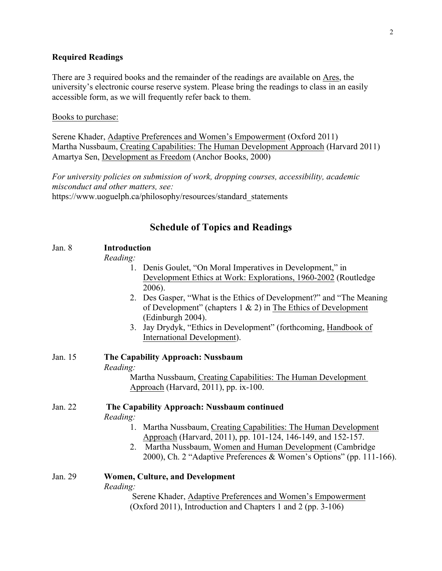#### **Required Readings**

There are 3 required books and the remainder of the readings are available on Ares, the university's electronic course reserve system. Please bring the readings to class in an easily accessible form, as we will frequently refer back to them.

#### Books to purchase:

Serene Khader, Adaptive Preferences and Women's Empowerment (Oxford 2011) Martha Nussbaum, Creating Capabilities: The Human Development Approach (Harvard 2011) Amartya Sen, Development as Freedom (Anchor Books, 2000)

*For university policies on submission of work, dropping courses, accessibility, academic misconduct and other matters, see:* https://www.uoguelph.ca/philosophy/resources/standard\_statements

### **Schedule of Topics and Readings**

## Jan. 8 **Introduction**

*Reading:*

- 1. Denis Goulet, "On Moral Imperatives in Development," in Development Ethics at Work: Explorations, 1960-2002 (Routledge 2006).
- 2. Des Gasper, "What is the Ethics of Development?" and "The Meaning of Development" (chapters  $1 \& 2$ ) in The Ethics of Development (Edinburgh 2004).
- 3. Jay Drydyk, "Ethics in Development" (forthcoming, Handbook of International Development).
- Jan. 15 **The Capability Approach: Nussbaum** *Reading:* Martha Nussbaum, Creating Capabilities: The Human Development Approach (Harvard, 2011), pp. ix-100.

Jan. 22 **The Capability Approach: Nussbaum continued** *Reading:*

- 1. Martha Nussbaum, Creating Capabilities: The Human Development Approach (Harvard, 2011), pp. 101-124, 146-149, and 152-157.
- 2. Martha Nussbaum, Women and Human Development (Cambridge 2000), Ch. 2 "Adaptive Preferences & Women's Options" (pp. 111-166).

## Jan. 29 **Women, Culture, and Development** *Reading:*

Serene Khader, Adaptive Preferences and Women's Empowerment (Oxford 2011), Introduction and Chapters 1 and 2 (pp. 3-106)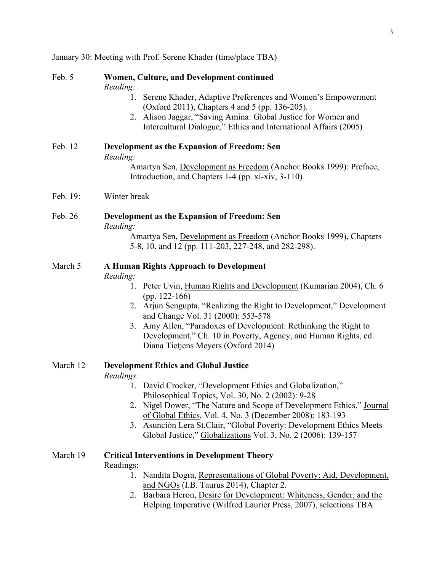January 30: Meeting with Prof. Serene Khader (time/place TBA)

| Feb. 5   | Women, Culture, and Development continued<br>Reading:<br>1. Serene Khader, Adaptive Preferences and Women's Empowerment<br>(Oxford 2011), Chapters 4 and 5 (pp. 136-205).<br>2. Alison Jaggar, "Saving Amina: Global Justice for Women and                                                                                                                                                                                                     |
|----------|------------------------------------------------------------------------------------------------------------------------------------------------------------------------------------------------------------------------------------------------------------------------------------------------------------------------------------------------------------------------------------------------------------------------------------------------|
| Feb. 12  | Intercultural Dialogue," Ethics and International Affairs (2005)<br>Development as the Expansion of Freedom: Sen<br>Reading:<br>Amartya Sen, Development as Freedom (Anchor Books 1999): Preface,<br>Introduction, and Chapters 1-4 (pp. xi-xiv, 3-110)                                                                                                                                                                                        |
| Feb. 19: | Winter break                                                                                                                                                                                                                                                                                                                                                                                                                                   |
| Feb. 26  | Development as the Expansion of Freedom: Sen<br>Reading:<br>Amartya Sen, Development as Freedom (Anchor Books 1999), Chapters<br>5-8, 10, and 12 (pp. 111-203, 227-248, and 282-298).                                                                                                                                                                                                                                                          |
| March 5  | <b>A Human Rights Approach to Development</b><br>Reading:<br>1. Peter Uvin, Human Rights and Development (Kumarian 2004), Ch. 6<br>(pp. $122-166$ )<br>2. Arjun Sengupta, "Realizing the Right to Development," Development<br>and Change Vol. 31 (2000): 553-578<br>3. Amy Allen, "Paradoxes of Development: Rethinking the Right to<br>Development," Ch. 10 in Poverty, Agency, and Human Rights, ed.<br>Diana Tietjens Meyers (Oxford 2014) |
| March 12 | <b>Development Ethics and Global Justice</b>                                                                                                                                                                                                                                                                                                                                                                                                   |

# *Readings:*

- 1. David Crocker, "Development Ethics and Globalization," Philosophical Topics, Vol. 30, No. 2 (2002): 9-28
- 2. Nigel Dower, "The Nature and Scope of Development Ethics," Journal of Global Ethics, Vol. 4, No. 3 (December 2008): 183-193
- 3. Asunción Lera St.Clair, "Global Poverty: Development Ethics Meets Global Justice," Globalizations Vol. 3, No. 2 (2006): 139-157

#### March 19 **Critical Interventions in Development Theory**

Readings:

- 1. Nandita Dogra, Representations of Global Poverty: Aid, Development, and NGOs (I.B. Taurus 2014), Chapter 2.
- 2. Barbara Heron, Desire for Development: Whiteness, Gender, and the Helping Imperative (Wilfred Laurier Press, 2007), selections TBA